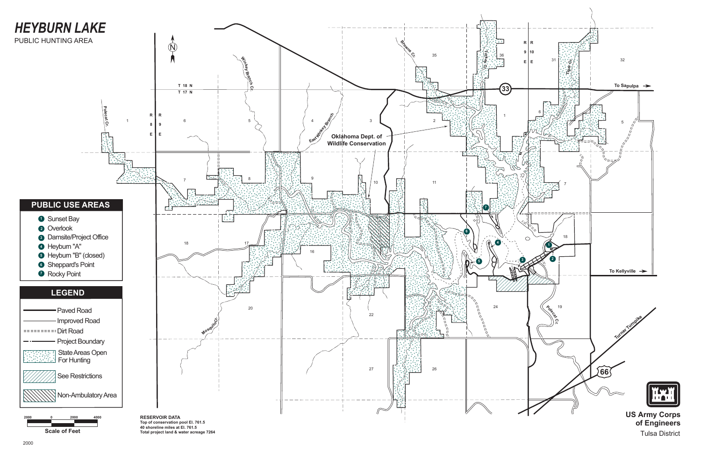